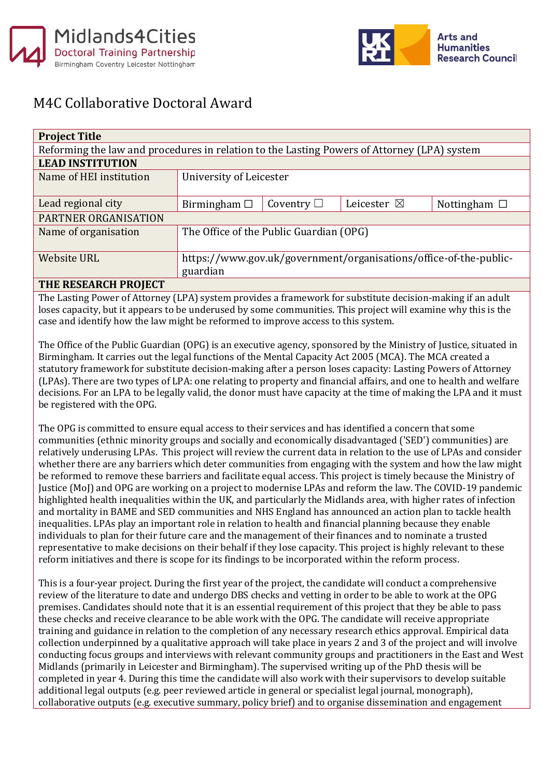



## M4C Collaborative Doctoral Award

| <b>Project Title</b>                                                                        |                                                                   |                 |                       |                   |  |
|---------------------------------------------------------------------------------------------|-------------------------------------------------------------------|-----------------|-----------------------|-------------------|--|
| Reforming the law and procedures in relation to the Lasting Powers of Attorney (LPA) system |                                                                   |                 |                       |                   |  |
| <b>LEAD INSTITUTION</b>                                                                     |                                                                   |                 |                       |                   |  |
| Name of HEI institution                                                                     | University of Leicester                                           |                 |                       |                   |  |
|                                                                                             |                                                                   |                 |                       |                   |  |
| Lead regional city                                                                          | Birmingham $\Box$                                                 | Coventry $\Box$ | Leicester $\boxtimes$ | Nottingham $\Box$ |  |
| PARTNER ORGANISATION                                                                        |                                                                   |                 |                       |                   |  |
| Name of organisation                                                                        | The Office of the Public Guardian (OPG)                           |                 |                       |                   |  |
|                                                                                             |                                                                   |                 |                       |                   |  |
| <b>Website URL</b>                                                                          | https://www.gov.uk/government/organisations/office-of-the-public- |                 |                       |                   |  |
|                                                                                             | guardian                                                          |                 |                       |                   |  |

## **THE RESEARCH PROJECT**

The Lasting Power of Attorney (LPA) system provides a framework for substitute decision-making if an adult loses capacity, but it appears to be underused by some communities. This project will examine why this is the case and identify how the law might be reformed to improve access to this system.

The Office of the Public Guardian (OPG) is an executive agency, sponsored by the Ministry of Justice, situated in Birmingham. It carries out the legal functions of the Mental Capacity Act 2005 (MCA). The MCA created a statutory framework for substitute decision-making after a person loses capacity: Lasting Powers of Attorney (LPAs). There are two types of LPA: one relating to property and financial affairs, and one to health and welfare decisions. For an LPA to be legally valid, the donor must have capacity at the time of making the LPA and it must be registered with the OPG.

The OPG is committed to ensure equal access to their services and has identified a concern that some communities (ethnic minority groups and socially and economically disadvantaged ('SED') communities) are relatively underusing LPAs. This project will review the current data in relation to the use of LPAs and consider whether there are any barriers which deter communities from engaging with the system and how the law might be reformed to remove these barriers and facilitate equal access. This project is timely because the Ministry of Justice (MoJ) and OPG are working on a project to modernise LPAs and reform the law. The COVID-19 pandemic highlighted health inequalities within the UK, and particularly the Midlands area, with higher rates of infection and mortality in BAME and SED communities and NHS England has announced an action plan to tackle health inequalities. LPAs play an important role in relation to health and financial planning because they enable individuals to plan for their future care and the management of their finances and to nominate a trusted representative to make decisions on their behalf if they lose capacity. This project is highly relevant to these reform initiatives and there is scope for its findings to be incorporated within the reform process.

This is a four-year project. During the first year of the project, the candidate will conduct a comprehensive review of the literature to date and undergo DBS checks and vetting in order to be able to work at the OPG premises. Candidates should note that it is an essential requirement of this project that they be able to pass these checks and receive clearance to be able work with the OPG. The candidate will receive appropriate training and guidance in relation to the completion of any necessary research ethics approval. Empirical data collection underpinned by a qualitative approach will take place in years 2 and 3 of the project and will involve conducting focus groups and interviews with relevant community groups and practitioners in the East and West Midlands (primarily in Leicester and Birmingham). The supervised writing up of the PhD thesis will be completed in year 4. During this time the candidate will also work with their supervisors to develop suitable additional legal outputs (e.g. peer reviewed article in general or specialist legal journal, monograph), collaborative outputs (e.g. executive summary, policy brief) and to organise dissemination and engagement